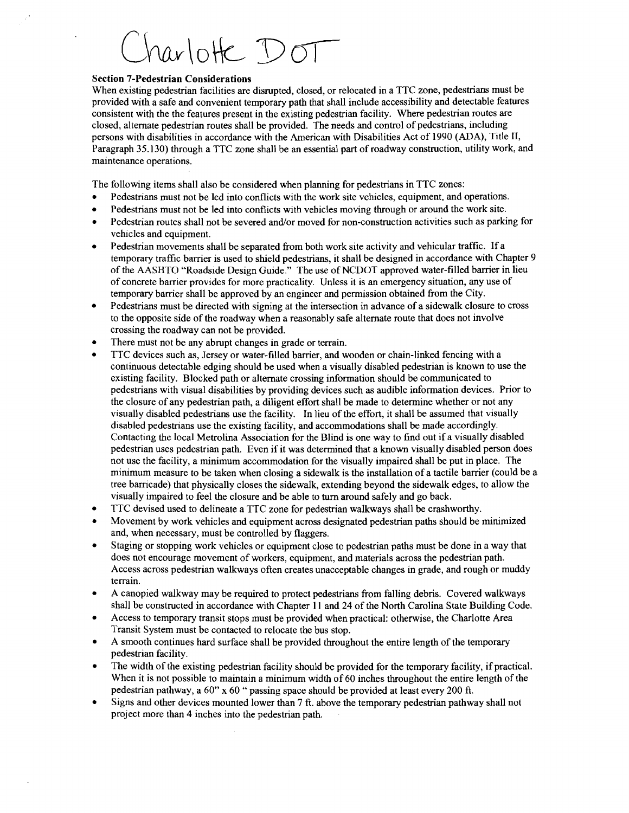## harlotte DOT

## **Section 7-Pedestrian Considerations**

When existing pedestrian facilities are disrupted, closed, or relocated in a TTC zone, pedestrians must be provided with a safe and convenient temporary path that shall include accessibility and detectable features consistent with the the features present in the existing pedestrian facility. Where pedestrian routes are closed, alternate pedestrian routes shall be provided. The needs and control of pedestrians, including persons with disabilities in accordance with the American with Disabilities Act of 1990 (ADA), Title 11, Paragraph 35.130) through a TTC zone shall be an essential part of roadway construction, utility work, and maintenance operations.

The following items shall also be considered when planning for pedestrians in TTC zones:

- Pedestrians must not be led into conflicts with the work site vehicles, equipment, and operations.
- Pedestrians must not be led into conflicts with vehicles moving through or around the work site.
- Pedestrian routes shall not be severed and/or moved for non-construction activities such as parking for vehicles and equipment.
- Pedestrian movements shall be separated from both work site activity and vehicular traffic. If a temporary traffic barrier is used to shield pedestrians, it shall be designed in accordance with Chapter 9 of the AASHTO "Roadside Design Guide." The use of NCDOT approved water-filled bamer in lieu of concrete barrier provides for more practicality. Unless it is an emergency situation, any use of temporary barrier shall be approved by an engineer and permission obtained from the City.
- Pedestrians must be directed with signing at the intersection in advance of a sidewalk closure to cross  $\bullet$ to the opposite side of the roadway when a reasonably safe alternate route that does not involve crossing the roadway can not be provided.
- There must not be any abrupt changes in grade or terrain.
- TTC devices such as, Jersey or water-filled barrier, and wooden or chain-linked fencing with a continuous detectable edging should be used when a visually disabled pedestrian is known to use the existing facility. Blocked path or alternate crossing information should be communicated to pedestrians with visual disabilities by providing devices such as audible information devices. Prior to the closure of any pedestrian path, a diligent effort shall be made to determine whether or not any visually disabled pedestrians use the facility. In lieu of the effort, it shall be assumed that visually disabled pedestrians use the existing facility, and accommodations shall be made accordingly. Contacting the local Metrolina Association for the Blind is one way to find out if a visually disabled pedestrian uses pedestrian path. Even if it was determined that a known visually disabled person does not use the facility, a minimum accommodation for the visually impaired shall be put in place. The minimum measure to be taken when closing a sidewalk is the installation of a tactile barrier (could be a tree barricade) that physically closes the sidewalk, extending beyond the sidewalk edges, to allow the visually impaired to feel the closure and be able to turn around safely and go back.
- TTC devised used to delineate a TTC zone for pedestrian walkways shall be crashworthy.
- Movement by work vehicles and equipment across designated pedestrian paths should be minimized and, when necessary, must be controlled by flaggers.
- Staging or stopping work vehicles or equipment close to pedestrian paths must be done in a way that does not encourage movement of workers, equipment, and materials across the pedestrian path. Access across pedestrian walkways often creates unacceptable changes in grade, and rough or muddy terrain.
- A canopied walkway may be required to protect pedestrians from falling debris. Covered walkways shall be constructed in accordance with Chapter 11 and 24 of the North Carolina State Building Code.
- Access to temporary transit stops must be provided when practical: otherwise, the Charlotte Area Transit System must be contacted to relocate the bus stop.
- A smooth continues hard surface shall be provided throughout the entire length of the temporary pedestrian facility.
- The width of the existing pedestrian facility should be provided for the temporary facility, if practical. When it is not possible to maintain a minimum width of 60 inches throughout the entire length of the pedestrian pathway, a 60" x 60 " passing space should be provided at least every 200 ft.
- Signs and other devices mounted lower than 7 ft. above the temporary pedestrian pathway shall not project more than 4 inches into the pedestrian path.